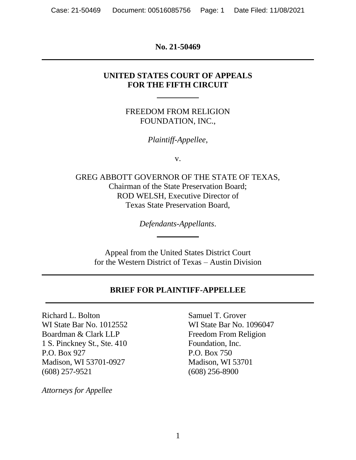**No. 21-50469**

### **UNITED STATES COURT OF APPEALS FOR THE FIFTH CIRCUIT**

FREEDOM FROM RELIGION FOUNDATION, INC.,

*Plaintiff-Appellee*,

v.

GREG ABBOTT GOVERNOR OF THE STATE OF TEXAS, Chairman of the State Preservation Board; ROD WELSH, Executive Director of Texas State Preservation Board,

*Defendants-Appellants*.

Appeal from the United States District Court for the Western District of Texas – Austin Division

## **BRIEF FOR PLAINTIFF-APPELLEE**

Richard L. Bolton Samuel T. Grover WI State Bar No. 1012552 WI State Bar No. 1096047 Boardman & Clark LLP Freedom From Religion 1 S. Pinckney St., Ste. 410 Foundation, Inc. P.O. Box 927 P.O. Box 750 Madison, WI 53701-0927 Madison, WI 53701 (608) 257-9521 (608) 256-8900

*Attorneys for Appellee*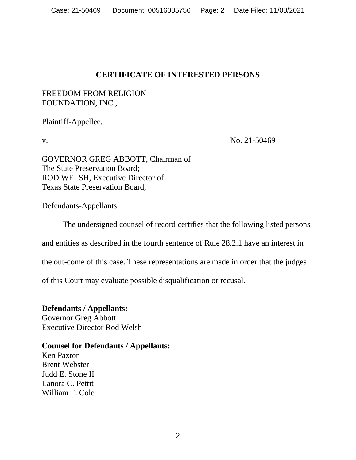## **CERTIFICATE OF INTERESTED PERSONS**

## FREEDOM FROM RELIGION FOUNDATION, INC.,

Plaintiff-Appellee,

v. No. 21-50469

GOVERNOR GREG ABBOTT, Chairman of The State Preservation Board; ROD WELSH, Executive Director of Texas State Preservation Board,

Defendants-Appellants.

The undersigned counsel of record certifies that the following listed persons

and entities as described in the fourth sentence of Rule 28.2.1 have an interest in

the out-come of this case. These representations are made in order that the judges

of this Court may evaluate possible disqualification or recusal.

**Defendants / Appellants:**  Governor Greg Abbott Executive Director Rod Welsh

### **Counsel for Defendants / Appellants:**

Ken Paxton Brent Webster Judd E. Stone II Lanora C. Pettit William F. Cole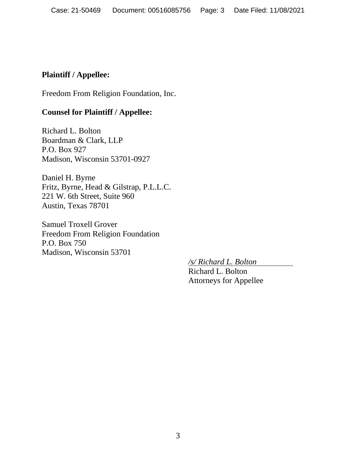## **Plaintiff / Appellee:**

Freedom From Religion Foundation, Inc.

## **Counsel for Plaintiff / Appellee:**

Richard L. Bolton Boardman & Clark, LLP P.O. Box 927 Madison, Wisconsin 53701-0927

Daniel H. Byrne Fritz, Byrne, Head & Gilstrap, P.L.L.C. 221 W. 6th Street, Suite 960 Austin, Texas 78701

Samuel Troxell Grover Freedom From Religion Foundation P.O. Box 750 Madison, Wisconsin 53701

*/s/ Richard L. Bolton*

Richard L. Bolton Attorneys for Appellee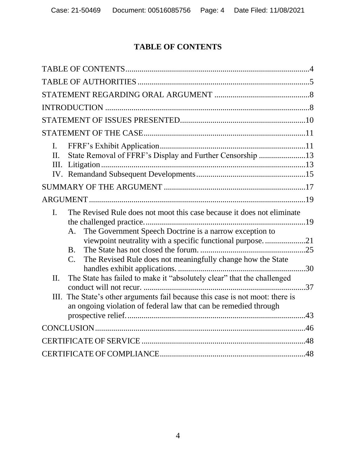# **TABLE OF CONTENTS**

| I.<br>State Removal of FFRF's Display and Further Censorship 13<br>$\Pi$ .<br>III.                                                                                                                                                                                                                                                                                                                                                                                                                                                                  |
|-----------------------------------------------------------------------------------------------------------------------------------------------------------------------------------------------------------------------------------------------------------------------------------------------------------------------------------------------------------------------------------------------------------------------------------------------------------------------------------------------------------------------------------------------------|
|                                                                                                                                                                                                                                                                                                                                                                                                                                                                                                                                                     |
|                                                                                                                                                                                                                                                                                                                                                                                                                                                                                                                                                     |
| The Revised Rule does not moot this case because it does not eliminate<br>I.<br>The Government Speech Doctrine is a narrow exception to<br>A.<br>viewpoint neutrality with a specific functional purpose21<br>B <sub>1</sub><br>The Revised Rule does not meaningfully change how the State<br>$C_{\cdot}$<br>The State has failed to make it "absolutely clear" that the challenged<br>II.<br>The State's other arguments fail because this case is not moot: there is<br>III.<br>an ongoing violation of federal law that can be remedied through |
|                                                                                                                                                                                                                                                                                                                                                                                                                                                                                                                                                     |
|                                                                                                                                                                                                                                                                                                                                                                                                                                                                                                                                                     |
|                                                                                                                                                                                                                                                                                                                                                                                                                                                                                                                                                     |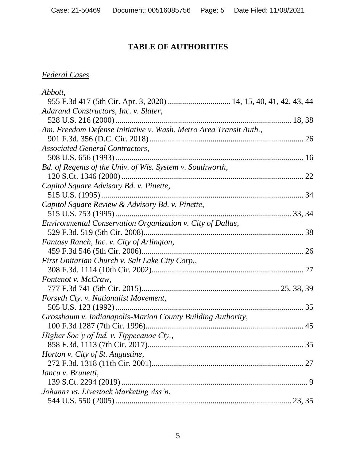# **TABLE OF AUTHORITIES**

# *Federal Cases*

| Abbott,                                                           |                 |
|-------------------------------------------------------------------|-----------------|
| 955 F.3d 417 (5th Cir. Apr. 3, 2020)  14, 15, 40, 41, 42, 43, 44  |                 |
| Adarand Constructors, Inc. v. Slater,                             |                 |
|                                                                   |                 |
| Am. Freedom Defense Initiative v. Wash. Metro Area Transit Auth., |                 |
|                                                                   |                 |
| <b>Associated General Contractors,</b>                            |                 |
|                                                                   |                 |
| Bd. of Regents of the Univ. of Wis. System v. Southworth,         |                 |
|                                                                   |                 |
| Capitol Square Advisory Bd. v. Pinette,                           |                 |
|                                                                   |                 |
| Capitol Square Review & Advisory Bd. v. Pinette,                  |                 |
|                                                                   |                 |
| Environmental Conservation Organization v. City of Dallas,        |                 |
|                                                                   |                 |
| Fantasy Ranch, Inc. v. City of Arlington,                         |                 |
|                                                                   |                 |
| First Unitarian Church v. Salt Lake City Corp.,                   |                 |
|                                                                   |                 |
| Fontenot v. McCraw,                                               |                 |
|                                                                   |                 |
| Forsyth Cty. v. Nationalist Movement,                             |                 |
|                                                                   |                 |
| Grossbaum v. Indianapolis-Marion County Building Authority,       |                 |
|                                                                   |                 |
| Higher Soc'y of Ind. v. Tippecanoe Cty.,                          |                 |
|                                                                   | $\therefore$ 35 |
| Horton v. City of St. Augustine,                                  |                 |
|                                                                   |                 |
| Iancu v. Brunetti,                                                |                 |
|                                                                   |                 |
|                                                                   |                 |
| Johanns vs. Livestock Marketing Ass'n,                            |                 |
|                                                                   |                 |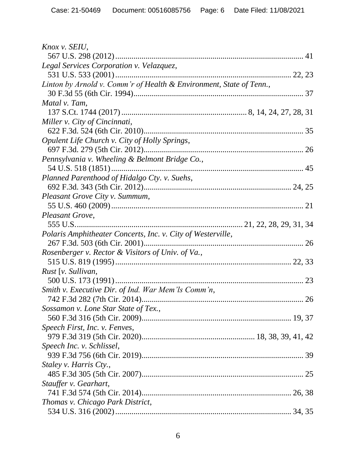| Knox v. SEIU,                                                       |  |
|---------------------------------------------------------------------|--|
|                                                                     |  |
| Legal Services Corporation v. Velazquez,                            |  |
|                                                                     |  |
| Linton by Arnold v. Comm'r of Health & Environment, State of Tenn., |  |
|                                                                     |  |
| Matal v. Tam,                                                       |  |
|                                                                     |  |
| Miller v. City of Cincinnati,                                       |  |
|                                                                     |  |
| Opulent Life Church v. City of Holly Springs,                       |  |
|                                                                     |  |
| Pennsylvania v. Wheeling & Belmont Bridge Co.,                      |  |
|                                                                     |  |
| Planned Parenthood of Hidalgo Cty. v. Suehs,                        |  |
|                                                                     |  |
| Pleasant Grove City v. Summum,                                      |  |
|                                                                     |  |
| Pleasant Grove,                                                     |  |
|                                                                     |  |
| Polaris Amphitheater Concerts, Inc. v. City of Westerville,         |  |
|                                                                     |  |
| Rosenberger v. Rector & Visitors of Univ. of Va.,                   |  |
|                                                                     |  |
| Rust [v. Sullivan,                                                  |  |
|                                                                     |  |
| Smith v. Executive Dir. of Ind. War Mem'ls Comm'n,                  |  |
|                                                                     |  |
| Sossamon v. Lone Star State of Tex.,                                |  |
|                                                                     |  |
| Speech First, Inc. v. Fenves,                                       |  |
|                                                                     |  |
| Speech Inc. v. Schlissel,                                           |  |
|                                                                     |  |
| Staley v. Harris Cty.,                                              |  |
|                                                                     |  |
| Stauffer v. Gearhart,                                               |  |
|                                                                     |  |
| Thomas v. Chicago Park District,                                    |  |
|                                                                     |  |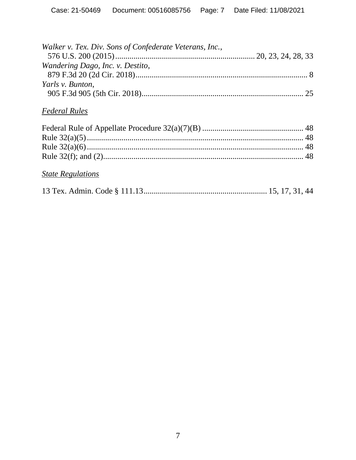| Walker v. Tex. Div. Sons of Confederate Veterans, Inc., |  |
|---------------------------------------------------------|--|
|                                                         |  |
| Wandering Dago, Inc. v. Destito,                        |  |
|                                                         |  |
| Yarls v. Bunton,                                        |  |
|                                                         |  |

# *Federal Rules*

# *State Regulations*

|--|--|--|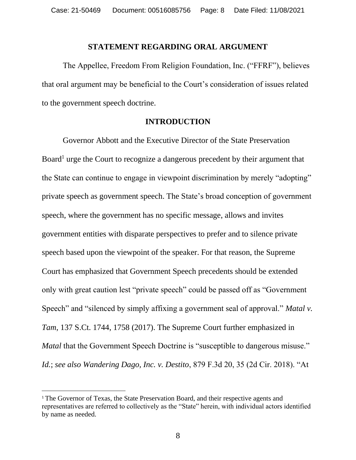#### **STATEMENT REGARDING ORAL ARGUMENT**

The Appellee, Freedom From Religion Foundation, Inc. ("FFRF"), believes that oral argument may be beneficial to the Court's consideration of issues related to the government speech doctrine.

#### **INTRODUCTION**

Governor Abbott and the Executive Director of the State Preservation Board<sup>1</sup> urge the Court to recognize a dangerous precedent by their argument that the State can continue to engage in viewpoint discrimination by merely "adopting" private speech as government speech. The State's broad conception of government speech, where the government has no specific message, allows and invites government entities with disparate perspectives to prefer and to silence private speech based upon the viewpoint of the speaker. For that reason, the Supreme Court has emphasized that Government Speech precedents should be extended only with great caution lest "private speech" could be passed off as "Government Speech" and "silenced by simply affixing a government seal of approval." *Matal v. Tam*, 137 S.Ct. 1744, 1758 (2017). The Supreme Court further emphasized in *Matal* that the Government Speech Doctrine is "susceptible to dangerous misuse." *Id.*; *see also Wandering Dago, Inc. v. Destito*, 879 F.3d 20, 35 (2d Cir. 2018). "At

<sup>&</sup>lt;sup>1</sup> The Governor of Texas, the State Preservation Board, and their respective agents and representatives are referred to collectively as the "State" herein, with individual actors identified by name as needed.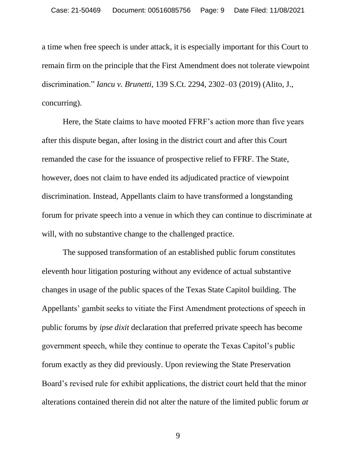a time when free speech is under attack, it is especially important for this Court to remain firm on the principle that the First Amendment does not tolerate viewpoint discrimination." *Iancu v. Brunetti*, 139 S.Ct. 2294, 2302–03 (2019) (Alito, J., concurring).

Here, the State claims to have mooted FFRF's action more than five years after this dispute began, after losing in the district court and after this Court remanded the case for the issuance of prospective relief to FFRF. The State, however, does not claim to have ended its adjudicated practice of viewpoint discrimination. Instead, Appellants claim to have transformed a longstanding forum for private speech into a venue in which they can continue to discriminate at will, with no substantive change to the challenged practice.

The supposed transformation of an established public forum constitutes eleventh hour litigation posturing without any evidence of actual substantive changes in usage of the public spaces of the Texas State Capitol building. The Appellants' gambit seeks to vitiate the First Amendment protections of speech in public forums by *ipse dixit* declaration that preferred private speech has become government speech, while they continue to operate the Texas Capitol's public forum exactly as they did previously. Upon reviewing the State Preservation Board's revised rule for exhibit applications, the district court held that the minor alterations contained therein did not alter the nature of the limited public forum *at*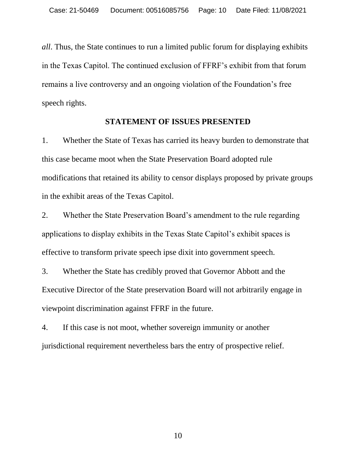*all*. Thus, the State continues to run a limited public forum for displaying exhibits in the Texas Capitol. The continued exclusion of FFRF's exhibit from that forum remains a live controversy and an ongoing violation of the Foundation's free speech rights.

#### **STATEMENT OF ISSUES PRESENTED**

1. Whether the State of Texas has carried its heavy burden to demonstrate that this case became moot when the State Preservation Board adopted rule modifications that retained its ability to censor displays proposed by private groups in the exhibit areas of the Texas Capitol.

2. Whether the State Preservation Board's amendment to the rule regarding applications to display exhibits in the Texas State Capitol's exhibit spaces is effective to transform private speech ipse dixit into government speech.

3. Whether the State has credibly proved that Governor Abbott and the Executive Director of the State preservation Board will not arbitrarily engage in viewpoint discrimination against FFRF in the future.

4. If this case is not moot, whether sovereign immunity or another jurisdictional requirement nevertheless bars the entry of prospective relief.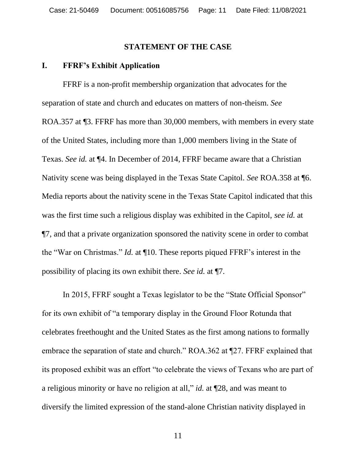#### **STATEMENT OF THE CASE**

#### **I. FFRF's Exhibit Application**

FFRF is a non-profit membership organization that advocates for the separation of state and church and educates on matters of non-theism. *See*  ROA.357 at ¶3. FFRF has more than 30,000 members, with members in every state of the United States, including more than 1,000 members living in the State of Texas. *See id.* at ¶4. In December of 2014, FFRF became aware that a Christian Nativity scene was being displayed in the Texas State Capitol. *See* ROA.358 at ¶6. Media reports about the nativity scene in the Texas State Capitol indicated that this was the first time such a religious display was exhibited in the Capitol, *see id.* at ¶7, and that a private organization sponsored the nativity scene in order to combat the "War on Christmas." *Id.* at ¶10. These reports piqued FFRF's interest in the possibility of placing its own exhibit there. *See id.* at ¶7.

In 2015, FFRF sought a Texas legislator to be the "State Official Sponsor" for its own exhibit of "a temporary display in the Ground Floor Rotunda that celebrates freethought and the United States as the first among nations to formally embrace the separation of state and church." ROA.362 at ¶27. FFRF explained that its proposed exhibit was an effort "to celebrate the views of Texans who are part of a religious minority or have no religion at all," *id.* at ¶28, and was meant to diversify the limited expression of the stand-alone Christian nativity displayed in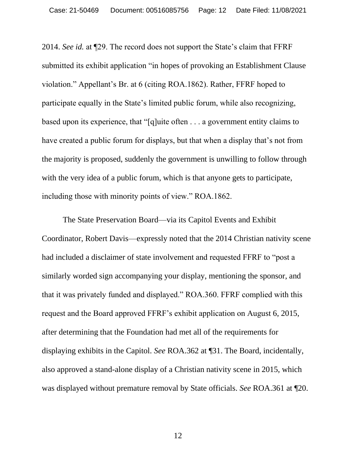2014. *See id.* at ¶29. The record does not support the State's claim that FFRF submitted its exhibit application "in hopes of provoking an Establishment Clause violation." Appellant's Br. at 6 (citing ROA.1862). Rather, FFRF hoped to participate equally in the State's limited public forum, while also recognizing, based upon its experience, that "[q]uite often . . . a government entity claims to have created a public forum for displays, but that when a display that's not from the majority is proposed, suddenly the government is unwilling to follow through with the very idea of a public forum, which is that anyone gets to participate, including those with minority points of view." ROA.1862.

The State Preservation Board—via its Capitol Events and Exhibit Coordinator, Robert Davis—expressly noted that the 2014 Christian nativity scene had included a disclaimer of state involvement and requested FFRF to "post a similarly worded sign accompanying your display, mentioning the sponsor, and that it was privately funded and displayed." ROA.360. FFRF complied with this request and the Board approved FFRF's exhibit application on August 6, 2015, after determining that the Foundation had met all of the requirements for displaying exhibits in the Capitol. *See* ROA.362 at ¶31. The Board, incidentally, also approved a stand-alone display of a Christian nativity scene in 2015, which was displayed without premature removal by State officials. *See* ROA.361 at ¶20.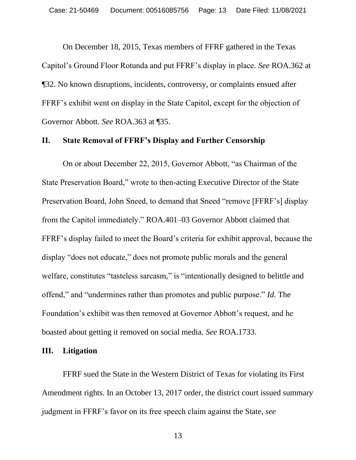On December 18, 2015, Texas members of FFRF gathered in the Texas Capitol's Ground Floor Rotunda and put FFRF's display in place. *See* ROA.362 at ¶32. No known disruptions, incidents, controversy, or complaints ensued after FFRF's exhibit went on display in the State Capitol, except for the objection of Governor Abbott. *See* ROA.363 at ¶35.

#### **II. State Removal of FFRF's Display and Further Censorship**

On or about December 22, 2015, Governor Abbott, "as Chairman of the State Preservation Board," wrote to then-acting Executive Director of the State Preservation Board, John Sneed, to demand that Sneed "remove [FFRF's] display from the Capitol immediately." ROA.401–03 Governor Abbott claimed that FFRF's display failed to meet the Board's criteria for exhibit approval, because the display "does not educate," does not promote public morals and the general welfare, constitutes "tasteless sarcasm," is "intentionally designed to belittle and offend," and "undermines rather than promotes and public purpose." *Id.* The Foundation's exhibit was then removed at Governor Abbott's request, and he boasted about getting it removed on social media. *See* ROA.1733.

#### **III. Litigation**

FFRF sued the State in the Western District of Texas for violating its First Amendment rights. In an October 13, 2017 order, the district court issued summary judgment in FFRF's favor on its free speech claim against the State, *see*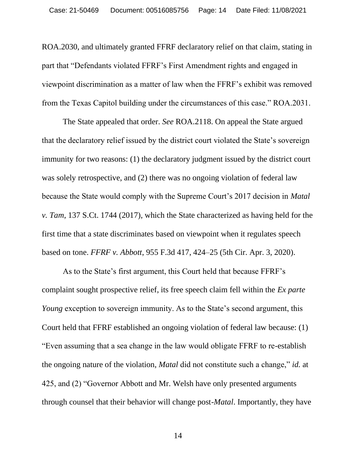ROA.2030, and ultimately granted FFRF declaratory relief on that claim, stating in part that "Defendants violated FFRF's First Amendment rights and engaged in viewpoint discrimination as a matter of law when the FFRF's exhibit was removed from the Texas Capitol building under the circumstances of this case." ROA.2031.

The State appealed that order. *See* ROA.2118. On appeal the State argued that the declaratory relief issued by the district court violated the State's sovereign immunity for two reasons: (1) the declaratory judgment issued by the district court was solely retrospective, and (2) there was no ongoing violation of federal law because the State would comply with the Supreme Court's 2017 decision in *Matal v. Tam*, 137 S.Ct. 1744 (2017), which the State characterized as having held for the first time that a state discriminates based on viewpoint when it regulates speech based on tone. *FFRF v. Abbott*, 955 F.3d 417, 424–25 (5th Cir. Apr. 3, 2020).

As to the State's first argument, this Court held that because FFRF's complaint sought prospective relief, its free speech claim fell within the *Ex parte Young* exception to sovereign immunity. As to the State's second argument, this Court held that FFRF established an ongoing violation of federal law because: (1) "Even assuming that a sea change in the law would obligate FFRF to re-establish the ongoing nature of the violation, *Matal* did not constitute such a change," *id.* at 425, and (2) "Governor Abbott and Mr. Welsh have only presented arguments through counsel that their behavior will change post-*Matal*. Importantly, they have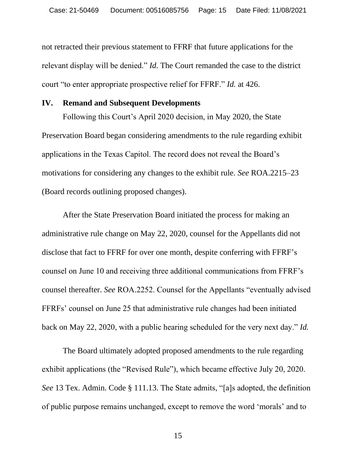not retracted their previous statement to FFRF that future applications for the relevant display will be denied." *Id.* The Court remanded the case to the district court "to enter appropriate prospective relief for FFRF." *Id.* at 426.

#### **IV. Remand and Subsequent Developments**

Following this Court's April 2020 decision, in May 2020, the State Preservation Board began considering amendments to the rule regarding exhibit applications in the Texas Capitol. The record does not reveal the Board's motivations for considering any changes to the exhibit rule. *See* ROA.2215–23 (Board records outlining proposed changes).

After the State Preservation Board initiated the process for making an administrative rule change on May 22, 2020, counsel for the Appellants did not disclose that fact to FFRF for over one month, despite conferring with FFRF's counsel on June 10 and receiving three additional communications from FFRF's counsel thereafter. *See* ROA.2252. Counsel for the Appellants "eventually advised FFRFs' counsel on June 25 that administrative rule changes had been initiated back on May 22, 2020, with a public hearing scheduled for the very next day." *Id.*

The Board ultimately adopted proposed amendments to the rule regarding exhibit applications (the "Revised Rule"), which became effective July 20, 2020. *See* 13 Tex. Admin. Code § 111.13. The State admits, "[a]s adopted, the definition of public purpose remains unchanged, except to remove the word 'morals' and to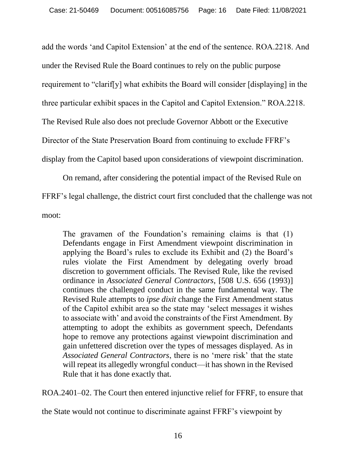add the words 'and Capitol Extension' at the end of the sentence. ROA.2218. And under the Revised Rule the Board continues to rely on the public purpose requirement to "clarif[y] what exhibits the Board will consider [displaying] in the three particular exhibit spaces in the Capitol and Capitol Extension." ROA.2218. The Revised Rule also does not preclude Governor Abbott or the Executive Director of the State Preservation Board from continuing to exclude FFRF's display from the Capitol based upon considerations of viewpoint discrimination.

On remand, after considering the potential impact of the Revised Rule on FFRF's legal challenge, the district court first concluded that the challenge was not moot:

The gravamen of the Foundation's remaining claims is that (1) Defendants engage in First Amendment viewpoint discrimination in applying the Board's rules to exclude its Exhibit and (2) the Board's rules violate the First Amendment by delegating overly broad discretion to government officials. The Revised Rule, like the revised ordinance in *Associated General Contractors*, [508 U.S. 656 (1993)] continues the challenged conduct in the same fundamental way. The Revised Rule attempts to *ipse dixit* change the First Amendment status of the Capitol exhibit area so the state may 'select messages it wishes to associate with' and avoid the constraints of the First Amendment. By attempting to adopt the exhibits as government speech, Defendants hope to remove any protections against viewpoint discrimination and gain unfettered discretion over the types of messages displayed. As in *Associated General Contractors*, there is no 'mere risk' that the state will repeat its allegedly wrongful conduct—it has shown in the Revised Rule that it has done exactly that.

ROA.2401–02. The Court then entered injunctive relief for FFRF, to ensure that

the State would not continue to discriminate against FFRF's viewpoint by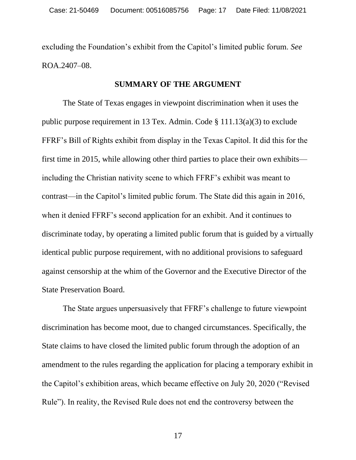excluding the Foundation's exhibit from the Capitol's limited public forum. *See*  ROA.2407–08.

#### **SUMMARY OF THE ARGUMENT**

The State of Texas engages in viewpoint discrimination when it uses the public purpose requirement in 13 Tex. Admin. Code § 111.13(a)(3) to exclude FFRF's Bill of Rights exhibit from display in the Texas Capitol. It did this for the first time in 2015, while allowing other third parties to place their own exhibits including the Christian nativity scene to which FFRF's exhibit was meant to contrast—in the Capitol's limited public forum. The State did this again in 2016, when it denied FFRF's second application for an exhibit. And it continues to discriminate today, by operating a limited public forum that is guided by a virtually identical public purpose requirement, with no additional provisions to safeguard against censorship at the whim of the Governor and the Executive Director of the State Preservation Board.

The State argues unpersuasively that FFRF's challenge to future viewpoint discrimination has become moot, due to changed circumstances. Specifically, the State claims to have closed the limited public forum through the adoption of an amendment to the rules regarding the application for placing a temporary exhibit in the Capitol's exhibition areas, which became effective on July 20, 2020 ("Revised Rule"). In reality, the Revised Rule does not end the controversy between the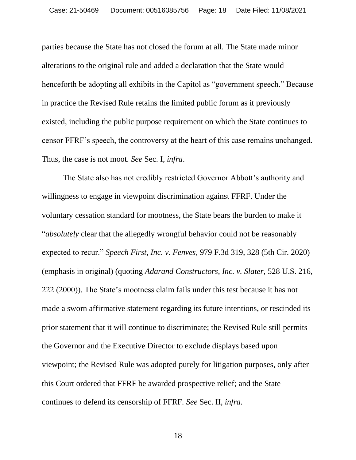parties because the State has not closed the forum at all. The State made minor alterations to the original rule and added a declaration that the State would henceforth be adopting all exhibits in the Capitol as "government speech." Because in practice the Revised Rule retains the limited public forum as it previously existed, including the public purpose requirement on which the State continues to censor FFRF's speech, the controversy at the heart of this case remains unchanged. Thus, the case is not moot. *See* Sec. I, *infra*.

The State also has not credibly restricted Governor Abbott's authority and willingness to engage in viewpoint discrimination against FFRF. Under the voluntary cessation standard for mootness, the State bears the burden to make it "*absolutely* clear that the allegedly wrongful behavior could not be reasonably expected to recur." *Speech First, Inc. v. Fenves*, 979 F.3d 319, 328 (5th Cir. 2020) (emphasis in original) (quoting *Adarand Constructors, Inc. v. Slater*, 528 U.S. 216, 222 (2000)). The State's mootness claim fails under this test because it has not made a sworn affirmative statement regarding its future intentions, or rescinded its prior statement that it will continue to discriminate; the Revised Rule still permits the Governor and the Executive Director to exclude displays based upon viewpoint; the Revised Rule was adopted purely for litigation purposes, only after this Court ordered that FFRF be awarded prospective relief; and the State continues to defend its censorship of FFRF. *See* Sec. II, *infra*.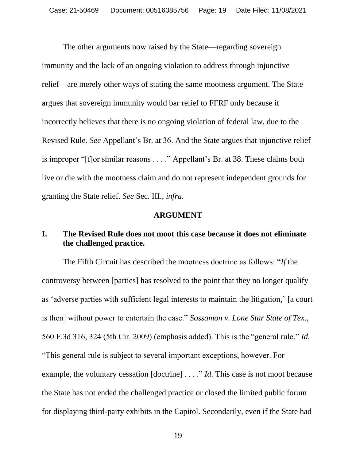The other arguments now raised by the State—regarding sovereign immunity and the lack of an ongoing violation to address through injunctive relief—are merely other ways of stating the same mootness argument. The State argues that sovereign immunity would bar relief to FFRF only because it incorrectly believes that there is no ongoing violation of federal law, due to the Revised Rule. *See* Appellant's Br. at 36. And the State argues that injunctive relief is improper "[f]or similar reasons . . . ." Appellant's Br. at 38. These claims both live or die with the mootness claim and do not represent independent grounds for granting the State relief. *See* Sec. III., *infra*.

#### **ARGUMENT**

## **I. The Revised Rule does not moot this case because it does not eliminate the challenged practice.**

The Fifth Circuit has described the mootness doctrine as follows: "*If* the controversy between [parties] has resolved to the point that they no longer qualify as 'adverse parties with sufficient legal interests to maintain the litigation,' [a court is then] without power to entertain the case." *Sossamon v. Lone Star State of Tex.*, 560 F.3d 316, 324 (5th Cir. 2009) (emphasis added). This is the "general rule." *Id.*

"This general rule is subject to several important exceptions, however. For example, the voluntary cessation [doctrine] . . . ." *Id.* This case is not moot because the State has not ended the challenged practice or closed the limited public forum for displaying third-party exhibits in the Capitol. Secondarily, even if the State had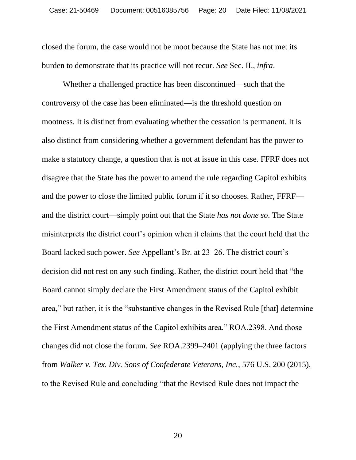closed the forum, the case would not be moot because the State has not met its burden to demonstrate that its practice will not recur. *See* Sec. II., *infra*.

Whether a challenged practice has been discontinued—such that the controversy of the case has been eliminated—is the threshold question on mootness. It is distinct from evaluating whether the cessation is permanent. It is also distinct from considering whether a government defendant has the power to make a statutory change, a question that is not at issue in this case. FFRF does not disagree that the State has the power to amend the rule regarding Capitol exhibits and the power to close the limited public forum if it so chooses. Rather, FFRF and the district court—simply point out that the State *has not done so*. The State misinterprets the district court's opinion when it claims that the court held that the Board lacked such power. *See* Appellant's Br. at 23–26. The district court's decision did not rest on any such finding. Rather, the district court held that "the Board cannot simply declare the First Amendment status of the Capitol exhibit area," but rather, it is the "substantive changes in the Revised Rule [that] determine the First Amendment status of the Capitol exhibits area." ROA.2398. And those changes did not close the forum. *See* ROA.2399–2401 (applying the three factors from *Walker v. Tex. Div. Sons of Confederate Veterans, Inc.*, 576 U.S. 200 (2015), to the Revised Rule and concluding "that the Revised Rule does not impact the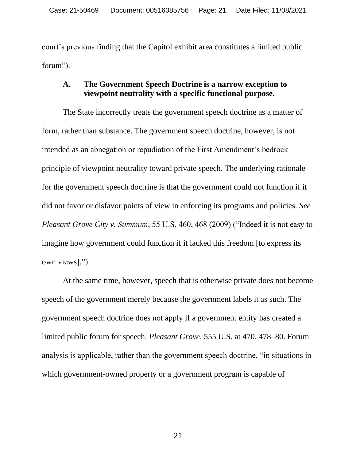court's previous finding that the Capitol exhibit area constitutes a limited public forum").

### **A. The Government Speech Doctrine is a narrow exception to viewpoint neutrality with a specific functional purpose.**

The State incorrectly treats the government speech doctrine as a matter of form, rather than substance. The government speech doctrine, however, is not intended as an abnegation or repudiation of the First Amendment's bedrock principle of viewpoint neutrality toward private speech. The underlying rationale for the government speech doctrine is that the government could not function if it did not favor or disfavor points of view in enforcing its programs and policies. *See Pleasant Grove City v. Summum*, 55 U.S. 460, 468 (2009) ("Indeed it is not easy to imagine how government could function if it lacked this freedom [to express its own views].").

At the same time, however, speech that is otherwise private does not become speech of the government merely because the government labels it as such. The government speech doctrine does not apply if a government entity has created a limited public forum for speech. *Pleasant Grove*, 555 U.S. at 470, 478–80. Forum analysis is applicable, rather than the government speech doctrine, "in situations in which government-owned property or a government program is capable of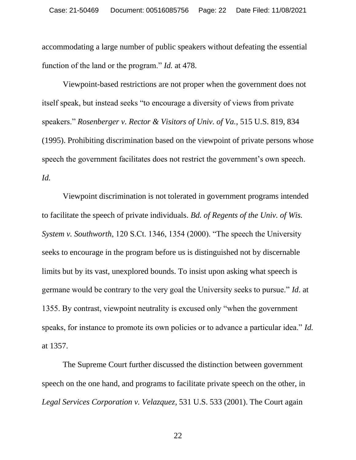accommodating a large number of public speakers without defeating the essential function of the land or the program." *Id.* at 478.

Viewpoint-based restrictions are not proper when the government does not itself speak, but instead seeks "to encourage a diversity of views from private speakers." *Rosenberger v. Rector & Visitors of Univ. of Va.*, 515 U.S. 819, 834 (1995). Prohibiting discrimination based on the viewpoint of private persons whose speech the government facilitates does not restrict the government's own speech. *Id.*

Viewpoint discrimination is not tolerated in government programs intended to facilitate the speech of private individuals. *Bd. of Regents of the Univ. of Wis. System v. Southworth*, 120 S.Ct. 1346, 1354 (2000). "The speech the University seeks to encourage in the program before us is distinguished not by discernable limits but by its vast, unexplored bounds. To insist upon asking what speech is germane would be contrary to the very goal the University seeks to pursue." *Id*. at 1355. By contrast, viewpoint neutrality is excused only "when the government speaks, for instance to promote its own policies or to advance a particular idea." *Id.*  at 1357.

The Supreme Court further discussed the distinction between government speech on the one hand, and programs to facilitate private speech on the other, in *Legal Services Corporation v. Velazquez*, 531 U.S. 533 (2001). The Court again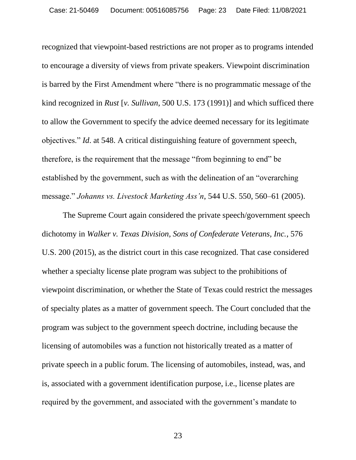recognized that viewpoint-based restrictions are not proper as to programs intended to encourage a diversity of views from private speakers. Viewpoint discrimination is barred by the First Amendment where "there is no programmatic message of the kind recognized in *Rust* [*v. Sullivan*, 500 U.S. 173 (1991)] and which sufficed there to allow the Government to specify the advice deemed necessary for its legitimate objectives." *Id*. at 548. A critical distinguishing feature of government speech, therefore, is the requirement that the message "from beginning to end" be established by the government, such as with the delineation of an "overarching message." *Johanns vs. Livestock Marketing Ass'n*, 544 U.S. 550, 560–61 (2005).

The Supreme Court again considered the private speech/government speech dichotomy in *Walker v. Texas Division, Sons of Confederate Veterans, Inc.*, 576 U.S. 200 (2015), as the district court in this case recognized. That case considered whether a specialty license plate program was subject to the prohibitions of viewpoint discrimination, or whether the State of Texas could restrict the messages of specialty plates as a matter of government speech. The Court concluded that the program was subject to the government speech doctrine, including because the licensing of automobiles was a function not historically treated as a matter of private speech in a public forum. The licensing of automobiles, instead, was, and is, associated with a government identification purpose, i.e., license plates are required by the government, and associated with the government's mandate to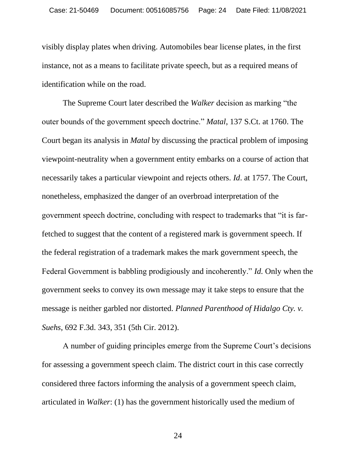visibly display plates when driving. Automobiles bear license plates, in the first instance, not as a means to facilitate private speech, but as a required means of identification while on the road.

The Supreme Court later described the *Walker* decision as marking "the outer bounds of the government speech doctrine." *Matal*, 137 S.Ct. at 1760. The Court began its analysis in *Matal* by discussing the practical problem of imposing viewpoint-neutrality when a government entity embarks on a course of action that necessarily takes a particular viewpoint and rejects others. *Id*. at 1757. The Court, nonetheless, emphasized the danger of an overbroad interpretation of the government speech doctrine, concluding with respect to trademarks that "it is farfetched to suggest that the content of a registered mark is government speech. If the federal registration of a trademark makes the mark government speech, the Federal Government is babbling prodigiously and incoherently." *Id.* Only when the government seeks to convey its own message may it take steps to ensure that the message is neither garbled nor distorted. *Planned Parenthood of Hidalgo Cty. v. Suehs*, 692 F.3d. 343, 351 (5th Cir. 2012).

A number of guiding principles emerge from the Supreme Court's decisions for assessing a government speech claim. The district court in this case correctly considered three factors informing the analysis of a government speech claim, articulated in *Walker*: (1) has the government historically used the medium of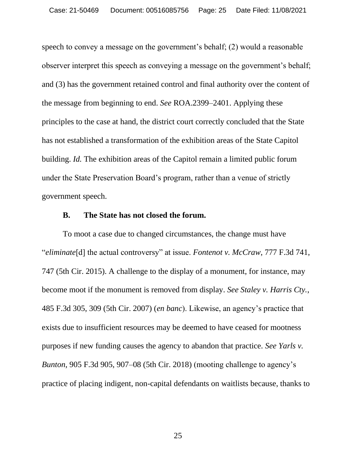speech to convey a message on the government's behalf; (2) would a reasonable observer interpret this speech as conveying a message on the government's behalf; and (3) has the government retained control and final authority over the content of the message from beginning to end. *See* ROA.2399–2401. Applying these principles to the case at hand, the district court correctly concluded that the State has not established a transformation of the exhibition areas of the State Capitol building. *Id.* The exhibition areas of the Capitol remain a limited public forum under the State Preservation Board's program, rather than a venue of strictly government speech.

#### **B. The State has not closed the forum.**

To moot a case due to changed circumstances, the change must have "*eliminate*[d] the actual controversy" at issue. *Fontenot v. McCraw*, 777 F.3d 741, 747 (5th Cir. 2015). A challenge to the display of a monument, for instance, may become moot if the monument is removed from display. *See Staley v. Harris Cty.*, 485 F.3d 305, 309 (5th Cir. 2007) (*en banc*). Likewise, an agency's practice that exists due to insufficient resources may be deemed to have ceased for mootness purposes if new funding causes the agency to abandon that practice. *See Yarls v. Bunton*, 905 F.3d 905, 907–08 (5th Cir. 2018) (mooting challenge to agency's practice of placing indigent, non-capital defendants on waitlists because, thanks to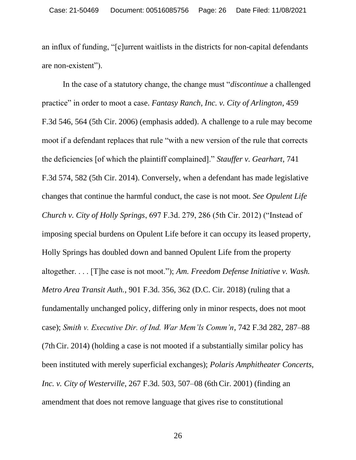an influx of funding, "[c]urrent waitlists in the districts for non-capital defendants are non-existent").

In the case of a statutory change, the change must "*discontinue* a challenged practice" in order to moot a case. *Fantasy Ranch, Inc. v. City of Arlington*, 459 F.3d 546, 564 (5th Cir. 2006) (emphasis added). A challenge to a rule may become moot if a defendant replaces that rule "with a new version of the rule that corrects the deficiencies [of which the plaintiff complained]." *Stauffer v. Gearhart*, 741 F.3d 574, 582 (5th Cir. 2014). Conversely, when a defendant has made legislative changes that continue the harmful conduct, the case is not moot. *See Opulent Life Church v. City of Holly Springs*, 697 F.3d. 279, 286 (5th Cir. 2012) ("Instead of imposing special burdens on Opulent Life before it can occupy its leased property, Holly Springs has doubled down and banned Opulent Life from the property altogether. . . . [T]he case is not moot."); *Am. Freedom Defense Initiative v. Wash. Metro Area Transit Auth.*, 901 F.3d. 356, 362 (D.C. Cir. 2018) (ruling that a fundamentally unchanged policy, differing only in minor respects, does not moot case); *Smith v. Executive Dir. of Ind. War Mem'ls Comm'n*, 742 F.3d 282, 287–88 (7th Cir. 2014) (holding a case is not mooted if a substantially similar policy has been instituted with merely superficial exchanges); *Polaris Amphitheater Concerts, Inc. v. City of Westerville*, 267 F.3d. 503, 507–08 (6th Cir. 2001) (finding an amendment that does not remove language that gives rise to constitutional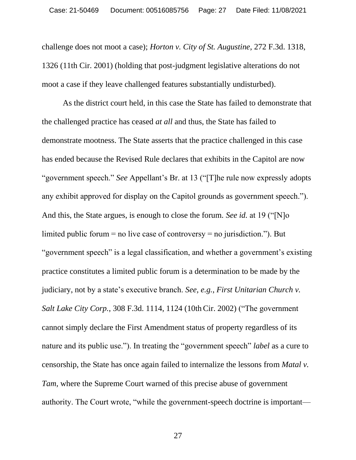challenge does not moot a case); *Horton v. City of St. Augustine*, 272 F.3d. 1318, 1326 (11th Cir. 2001) (holding that post-judgment legislative alterations do not moot a case if they leave challenged features substantially undisturbed).

As the district court held, in this case the State has failed to demonstrate that the challenged practice has ceased *at all* and thus, the State has failed to demonstrate mootness. The State asserts that the practice challenged in this case has ended because the Revised Rule declares that exhibits in the Capitol are now "government speech." *See* Appellant's Br. at 13 ("[T]he rule now expressly adopts any exhibit approved for display on the Capitol grounds as government speech."). And this, the State argues, is enough to close the forum. *See id.* at 19 ("[N]o limited public forum  $=$  no live case of controversy  $=$  no jurisdiction."). But "government speech" is a legal classification, and whether a government's existing practice constitutes a limited public forum is a determination to be made by the judiciary, not by a state's executive branch. *See, e.g.*, *First Unitarian Church v. Salt Lake City Corp.*, 308 F.3d. 1114, 1124 (10th Cir. 2002) ("The government cannot simply declare the First Amendment status of property regardless of its nature and its public use."). In treating the "government speech" *label* as a cure to censorship, the State has once again failed to internalize the lessons from *Matal v. Tam*, where the Supreme Court warned of this precise abuse of government authority. The Court wrote, "while the government-speech doctrine is important—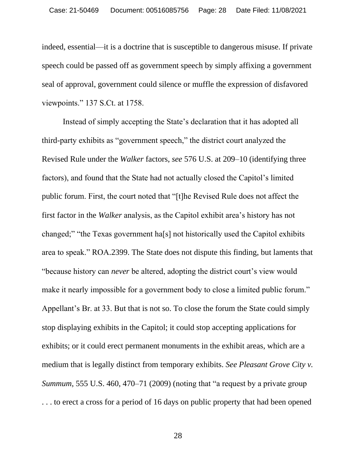indeed, essential—it is a doctrine that is susceptible to dangerous misuse. If private speech could be passed off as government speech by simply affixing a government seal of approval, government could silence or muffle the expression of disfavored viewpoints." 137 S.Ct. at 1758.

Instead of simply accepting the State's declaration that it has adopted all third-party exhibits as "government speech," the district court analyzed the Revised Rule under the *Walker* factors, *see* 576 U.S. at 209–10 (identifying three factors), and found that the State had not actually closed the Capitol's limited public forum. First, the court noted that "[t]he Revised Rule does not affect the first factor in the *Walker* analysis, as the Capitol exhibit area's history has not changed;" "the Texas government ha[s] not historically used the Capitol exhibits area to speak." ROA.2399. The State does not dispute this finding, but laments that "because history can *never* be altered, adopting the district court's view would make it nearly impossible for a government body to close a limited public forum." Appellant's Br. at 33. But that is not so. To close the forum the State could simply stop displaying exhibits in the Capitol; it could stop accepting applications for exhibits; or it could erect permanent monuments in the exhibit areas, which are a medium that is legally distinct from temporary exhibits. *See Pleasant Grove City v. Summum*, 555 U.S. 460, 470–71 (2009) (noting that "a request by a private group . . . to erect a cross for a period of 16 days on public property that had been opened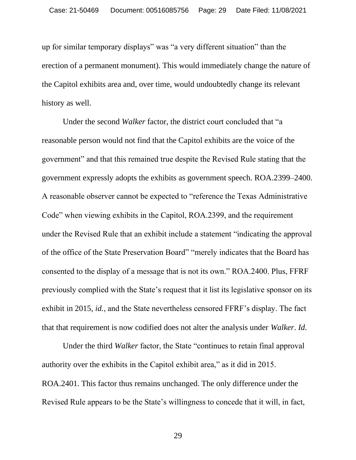up for similar temporary displays" was "a very different situation" than the erection of a permanent monument). This would immediately change the nature of the Capitol exhibits area and, over time, would undoubtedly change its relevant history as well.

Under the second *Walker* factor, the district court concluded that "a reasonable person would not find that the Capitol exhibits are the voice of the government" and that this remained true despite the Revised Rule stating that the government expressly adopts the exhibits as government speech. ROA.2399–2400. A reasonable observer cannot be expected to "reference the Texas Administrative Code" when viewing exhibits in the Capitol, ROA.2399, and the requirement under the Revised Rule that an exhibit include a statement "indicating the approval of the office of the State Preservation Board" "merely indicates that the Board has consented to the display of a message that is not its own." ROA.2400. Plus, FFRF previously complied with the State's request that it list its legislative sponsor on its exhibit in 2015, *id.*, and the State nevertheless censored FFRF's display. The fact that that requirement is now codified does not alter the analysis under *Walker*. *Id.*

Under the third *Walker* factor, the State "continues to retain final approval authority over the exhibits in the Capitol exhibit area," as it did in 2015. ROA.2401. This factor thus remains unchanged. The only difference under the Revised Rule appears to be the State's willingness to concede that it will, in fact,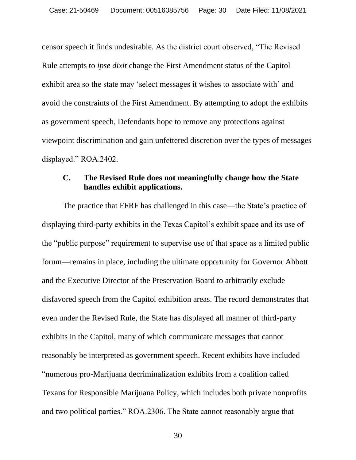censor speech it finds undesirable. As the district court observed, "The Revised Rule attempts to *ipse dixit* change the First Amendment status of the Capitol exhibit area so the state may 'select messages it wishes to associate with' and avoid the constraints of the First Amendment. By attempting to adopt the exhibits as government speech, Defendants hope to remove any protections against viewpoint discrimination and gain unfettered discretion over the types of messages displayed." ROA.2402.

### **C. The Revised Rule does not meaningfully change how the State handles exhibit applications.**

The practice that FFRF has challenged in this case—the State's practice of displaying third-party exhibits in the Texas Capitol's exhibit space and its use of the "public purpose" requirement to supervise use of that space as a limited public forum—remains in place, including the ultimate opportunity for Governor Abbott and the Executive Director of the Preservation Board to arbitrarily exclude disfavored speech from the Capitol exhibition areas. The record demonstrates that even under the Revised Rule, the State has displayed all manner of third-party exhibits in the Capitol, many of which communicate messages that cannot reasonably be interpreted as government speech. Recent exhibits have included "numerous pro-Marijuana decriminalization exhibits from a coalition called Texans for Responsible Marijuana Policy, which includes both private nonprofits and two political parties." ROA.2306. The State cannot reasonably argue that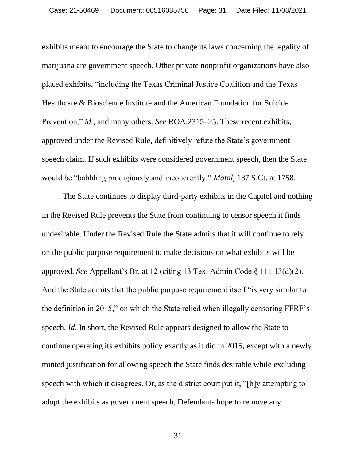exhibits meant to encourage the State to change its laws concerning the legality of marijuana are government speech. Other private nonprofit organizations have also placed exhibits, "including the Texas Criminal Justice Coalition and the Texas Healthcare & Bioscience Institute and the American Foundation for Suicide Prevention," *id.*, and many others. *See* ROA.2315–25. These recent exhibits, approved under the Revised Rule, definitively refute the State's government speech claim. If such exhibits were considered government speech, then the State would be "babbling prodigiously and incoherently." *Matal*, 137 S.Ct. at 1758.

The State continues to display third-party exhibits in the Capitol and nothing in the Revised Rule prevents the State from continuing to censor speech it finds undesirable. Under the Revised Rule the State admits that it will continue to rely on the public purpose requirement to make decisions on what exhibits will be approved. *See* Appellant's Br. at 12 (citing 13 Tex. Admin Code § 111.13(d)(2). And the State admits that the public purpose requirement itself "is very similar to the definition in 2015," on which the State relied when illegally censoring FFRF's speech. *Id.* In short, the Revised Rule appears designed to allow the State to continue operating its exhibits policy exactly as it did in 2015, except with a newly minted justification for allowing speech the State finds desirable while excluding speech with which it disagrees. Or, as the district court put it, "[b]y attempting to adopt the exhibits as government speech, Defendants hope to remove any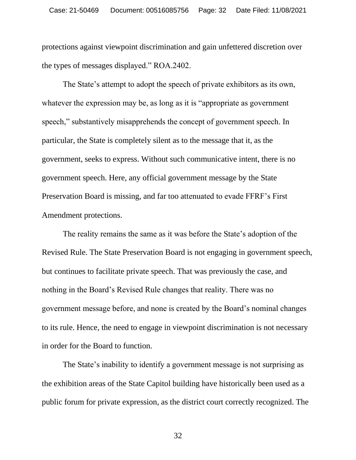protections against viewpoint discrimination and gain unfettered discretion over the types of messages displayed." ROA.2402.

The State's attempt to adopt the speech of private exhibitors as its own, whatever the expression may be, as long as it is "appropriate as government" speech," substantively misapprehends the concept of government speech. In particular, the State is completely silent as to the message that it, as the government, seeks to express. Without such communicative intent, there is no government speech. Here, any official government message by the State Preservation Board is missing, and far too attenuated to evade FFRF's First Amendment protections.

The reality remains the same as it was before the State's adoption of the Revised Rule. The State Preservation Board is not engaging in government speech, but continues to facilitate private speech. That was previously the case, and nothing in the Board's Revised Rule changes that reality. There was no government message before, and none is created by the Board's nominal changes to its rule. Hence, the need to engage in viewpoint discrimination is not necessary in order for the Board to function.

The State's inability to identify a government message is not surprising as the exhibition areas of the State Capitol building have historically been used as a public forum for private expression, as the district court correctly recognized. The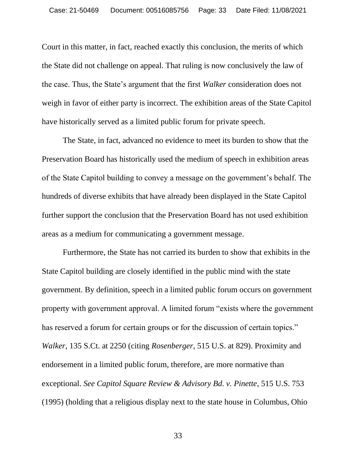Court in this matter, in fact, reached exactly this conclusion, the merits of which the State did not challenge on appeal. That ruling is now conclusively the law of the case. Thus, the State's argument that the first *Walker* consideration does not weigh in favor of either party is incorrect. The exhibition areas of the State Capitol have historically served as a limited public forum for private speech.

The State, in fact, advanced no evidence to meet its burden to show that the Preservation Board has historically used the medium of speech in exhibition areas of the State Capitol building to convey a message on the government's behalf. The hundreds of diverse exhibits that have already been displayed in the State Capitol further support the conclusion that the Preservation Board has not used exhibition areas as a medium for communicating a government message.

Furthermore, the State has not carried its burden to show that exhibits in the State Capitol building are closely identified in the public mind with the state government. By definition, speech in a limited public forum occurs on government property with government approval. A limited forum "exists where the government has reserved a forum for certain groups or for the discussion of certain topics." *Walker*, 135 S.Ct. at 2250 (citing *Rosenberger*, 515 U.S. at 829). Proximity and endorsement in a limited public forum, therefore, are more normative than exceptional. *See Capitol Square Review & Advisory Bd. v. Pinette*, 515 U.S. 753 (1995) (holding that a religious display next to the state house in Columbus, Ohio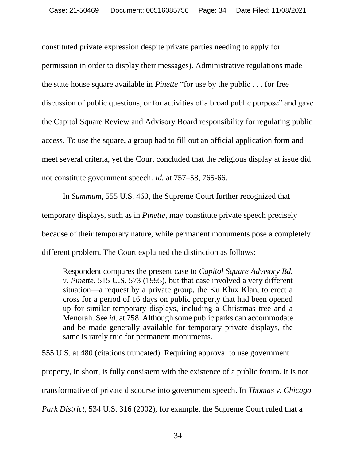constituted private expression despite private parties needing to apply for permission in order to display their messages). Administrative regulations made the state house square available in *Pinette* "for use by the public . . . for free discussion of public questions, or for activities of a broad public purpose" and gave the Capitol Square Review and Advisory Board responsibility for regulating public access. To use the square, a group had to fill out an official application form and meet several criteria, yet the Court concluded that the religious display at issue did not constitute government speech. *Id.* at 757–58, 765-66.

In *Summum*, 555 U.S. 460, the Supreme Court further recognized that temporary displays, such as in *Pinette*, may constitute private speech precisely because of their temporary nature, while permanent monuments pose a completely different problem. The Court explained the distinction as follows:

Respondent compares the present case to *Capitol Square Advisory Bd. v. Pinette*, 515 U.S. 573 (1995), but that case involved a very different situation—a request by a private group, the Ku Klux Klan, to erect a cross for a period of 16 days on public property that had been opened up for similar temporary displays, including a Christmas tree and a Menorah. See *id*. at 758. Although some public parks can accommodate and be made generally available for temporary private displays, the same is rarely true for permanent monuments.

555 U.S. at 480 (citations truncated). Requiring approval to use government

property, in short, is fully consistent with the existence of a public forum. It is not

transformative of private discourse into government speech. In *Thomas v. Chicago* 

*Park District*, 534 U.S. 316 (2002), for example, the Supreme Court ruled that a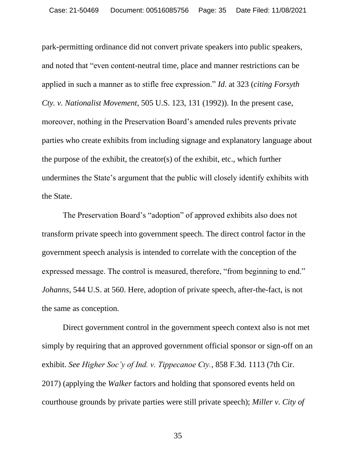park-permitting ordinance did not convert private speakers into public speakers, and noted that "even content-neutral time, place and manner restrictions can be applied in such a manner as to stifle free expression." *Id*. at 323 (*citing Forsyth Cty. v. Nationalist Movement*, 505 U.S. 123, 131 (1992)). In the present case, moreover, nothing in the Preservation Board's amended rules prevents private parties who create exhibits from including signage and explanatory language about the purpose of the exhibit, the creator(s) of the exhibit, etc., which further undermines the State's argument that the public will closely identify exhibits with the State.

The Preservation Board's "adoption" of approved exhibits also does not transform private speech into government speech. The direct control factor in the government speech analysis is intended to correlate with the conception of the expressed message. The control is measured, therefore, "from beginning to end." *Johanns*, 544 U.S. at 560. Here, adoption of private speech, after-the-fact, is not the same as conception.

Direct government control in the government speech context also is not met simply by requiring that an approved government official sponsor or sign-off on an exhibit. *See Higher Soc'y of Ind. v. Tippecanoe Cty.*, 858 F.3d. 1113 (7th Cir. 2017) (applying the *Walker* factors and holding that sponsored events held on courthouse grounds by private parties were still private speech); *Miller v. City of*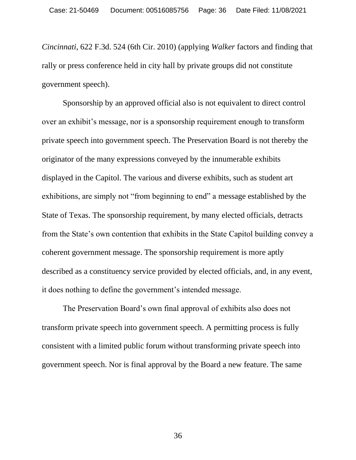*Cincinnati*, 622 F.3d. 524 (6th Cir. 2010) (applying *Walker* factors and finding that rally or press conference held in city hall by private groups did not constitute government speech).

Sponsorship by an approved official also is not equivalent to direct control over an exhibit's message, nor is a sponsorship requirement enough to transform private speech into government speech. The Preservation Board is not thereby the originator of the many expressions conveyed by the innumerable exhibits displayed in the Capitol. The various and diverse exhibits, such as student art exhibitions, are simply not "from beginning to end" a message established by the State of Texas. The sponsorship requirement, by many elected officials, detracts from the State's own contention that exhibits in the State Capitol building convey a coherent government message. The sponsorship requirement is more aptly described as a constituency service provided by elected officials, and, in any event, it does nothing to define the government's intended message.

The Preservation Board's own final approval of exhibits also does not transform private speech into government speech. A permitting process is fully consistent with a limited public forum without transforming private speech into government speech. Nor is final approval by the Board a new feature. The same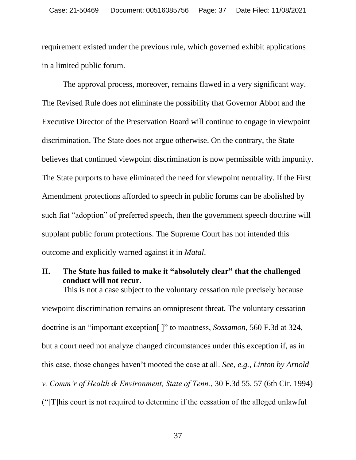requirement existed under the previous rule, which governed exhibit applications in a limited public forum.

The approval process, moreover, remains flawed in a very significant way. The Revised Rule does not eliminate the possibility that Governor Abbot and the Executive Director of the Preservation Board will continue to engage in viewpoint discrimination. The State does not argue otherwise. On the contrary, the State believes that continued viewpoint discrimination is now permissible with impunity. The State purports to have eliminated the need for viewpoint neutrality. If the First Amendment protections afforded to speech in public forums can be abolished by such fiat "adoption" of preferred speech, then the government speech doctrine will supplant public forum protections. The Supreme Court has not intended this outcome and explicitly warned against it in *Matal*.

## **II. The State has failed to make it "absolutely clear" that the challenged conduct will not recur.**

This is not a case subject to the voluntary cessation rule precisely because viewpoint discrimination remains an omnipresent threat. The voluntary cessation doctrine is an "important exception[ ]" to mootness, *Sossamon*, 560 F.3d at 324, but a court need not analyze changed circumstances under this exception if, as in this case, those changes haven't mooted the case at all. *See*, *e.g.*, *Linton by Arnold v. Comm'r of Health & Environment, State of Tenn.*, 30 F.3d 55, 57 (6th Cir. 1994) ("[T]his court is not required to determine if the cessation of the alleged unlawful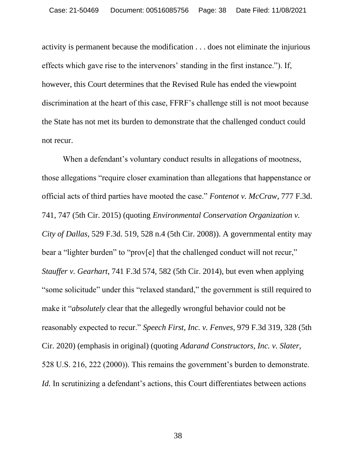activity is permanent because the modification . . . does not eliminate the injurious effects which gave rise to the intervenors' standing in the first instance."). If, however, this Court determines that the Revised Rule has ended the viewpoint discrimination at the heart of this case, FFRF's challenge still is not moot because the State has not met its burden to demonstrate that the challenged conduct could not recur.

When a defendant's voluntary conduct results in allegations of mootness, those allegations "require closer examination than allegations that happenstance or official acts of third parties have mooted the case." *Fontenot v. McCraw*, 777 F.3d. 741, 747 (5th Cir. 2015) (quoting *Environmental Conservation Organization v. City of Dallas*, 529 F.3d. 519, 528 n.4 (5th Cir. 2008)). A governmental entity may bear a "lighter burden" to "prov[e] that the challenged conduct will not recur," *Stauffer v. Gearhart*, 741 F.3d 574, 582 (5th Cir. 2014), but even when applying "some solicitude" under this "relaxed standard," the government is still required to make it "*absolutely* clear that the allegedly wrongful behavior could not be reasonably expected to recur." *Speech First, Inc. v. Fenves*, 979 F.3d 319, 328 (5th Cir. 2020) (emphasis in original) (quoting *Adarand Constructors, Inc. v. Slater*, 528 U.S. 216, 222 (2000)). This remains the government's burden to demonstrate. *Id.* In scrutinizing a defendant's actions, this Court differentiates between actions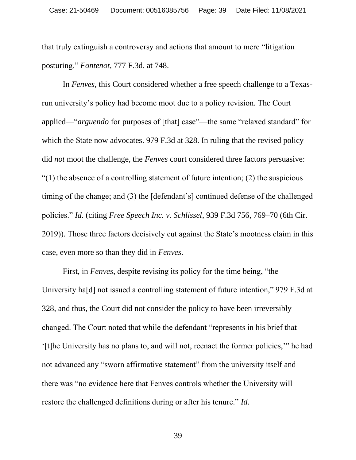that truly extinguish a controversy and actions that amount to mere "litigation posturing." *Fontenot*, 777 F.3d. at 748.

In *Fenves*, this Court considered whether a free speech challenge to a Texasrun university's policy had become moot due to a policy revision. The Court applied—"*arguendo* for purposes of [that] case"—the same "relaxed standard" for which the State now advocates. 979 F.3d at 328. In ruling that the revised policy did *not* moot the challenge, the *Fenves* court considered three factors persuasive:  $''(1)$  the absence of a controlling statement of future intention; (2) the suspicious timing of the change; and (3) the [defendant's] continued defense of the challenged policies." *Id.* (citing *Free Speech Inc. v. Schlissel*, 939 F.3d 756, 769–70 (6th Cir. 2019)). Those three factors decisively cut against the State's mootness claim in this case, even more so than they did in *Fenves*.

First, in *Fenves*, despite revising its policy for the time being, "the University ha[d] not issued a controlling statement of future intention," 979 F.3d at 328, and thus, the Court did not consider the policy to have been irreversibly changed. The Court noted that while the defendant "represents in his brief that '[t]he University has no plans to, and will not, reenact the former policies,'" he had not advanced any "sworn affirmative statement" from the university itself and there was "no evidence here that Fenves controls whether the University will restore the challenged definitions during or after his tenure." *Id.*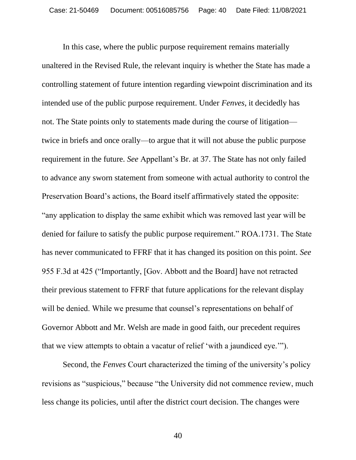In this case, where the public purpose requirement remains materially unaltered in the Revised Rule, the relevant inquiry is whether the State has made a controlling statement of future intention regarding viewpoint discrimination and its intended use of the public purpose requirement. Under *Fenves*, it decidedly has not. The State points only to statements made during the course of litigation twice in briefs and once orally—to argue that it will not abuse the public purpose requirement in the future. *See* Appellant's Br. at 37. The State has not only failed to advance any sworn statement from someone with actual authority to control the Preservation Board's actions, the Board itself affirmatively stated the opposite: "any application to display the same exhibit which was removed last year will be denied for failure to satisfy the public purpose requirement." ROA.1731. The State has never communicated to FFRF that it has changed its position on this point. *See* 955 F.3d at 425 ("Importantly, [Gov. Abbott and the Board] have not retracted their previous statement to FFRF that future applications for the relevant display will be denied. While we presume that counsel's representations on behalf of Governor Abbott and Mr. Welsh are made in good faith, our precedent requires that we view attempts to obtain a vacatur of relief 'with a jaundiced eye.'").

Second, the *Fenves* Court characterized the timing of the university's policy revisions as "suspicious," because "the University did not commence review, much less change its policies, until after the district court decision. The changes were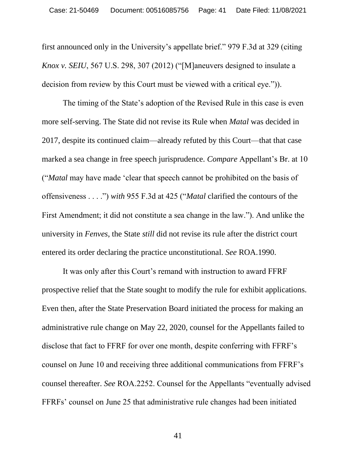first announced only in the University's appellate brief." 979 F.3d at 329 (citing *Knox v. SEIU*, 567 U.S. 298, 307 (2012) ("[M]aneuvers designed to insulate a decision from review by this Court must be viewed with a critical eye.")).

The timing of the State's adoption of the Revised Rule in this case is even more self-serving. The State did not revise its Rule when *Matal* was decided in 2017, despite its continued claim—already refuted by this Court—that that case marked a sea change in free speech jurisprudence. *Compare* Appellant's Br. at 10 ("*Matal* may have made 'clear that speech cannot be prohibited on the basis of offensiveness . . . .") *with* 955 F.3d at 425 ("*Matal* clarified the contours of the First Amendment; it did not constitute a sea change in the law."). And unlike the university in *Fenves*, the State *still* did not revise its rule after the district court entered its order declaring the practice unconstitutional. *See* ROA.1990.

It was only after this Court's remand with instruction to award FFRF prospective relief that the State sought to modify the rule for exhibit applications. Even then, after the State Preservation Board initiated the process for making an administrative rule change on May 22, 2020, counsel for the Appellants failed to disclose that fact to FFRF for over one month, despite conferring with FFRF's counsel on June 10 and receiving three additional communications from FFRF's counsel thereafter. *See* ROA.2252. Counsel for the Appellants "eventually advised FFRFs' counsel on June 25 that administrative rule changes had been initiated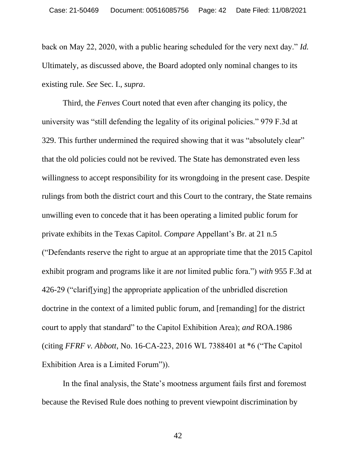back on May 22, 2020, with a public hearing scheduled for the very next day." *Id.*  Ultimately, as discussed above, the Board adopted only nominal changes to its existing rule. *See* Sec. I., *supra*.

Third, the *Fenves* Court noted that even after changing its policy, the university was "still defending the legality of its original policies." 979 F.3d at 329. This further undermined the required showing that it was "absolutely clear" that the old policies could not be revived. The State has demonstrated even less willingness to accept responsibility for its wrongdoing in the present case. Despite rulings from both the district court and this Court to the contrary, the State remains unwilling even to concede that it has been operating a limited public forum for private exhibits in the Texas Capitol. *Compare* Appellant's Br. at 21 n.5 ("Defendants reserve the right to argue at an appropriate time that the 2015 Capitol exhibit program and programs like it are *not* limited public fora.") *with* 955 F.3d at 426-29 ("clarif[ying] the appropriate application of the unbridled discretion doctrine in the context of a limited public forum, and [remanding] for the district court to apply that standard" to the Capitol Exhibition Area); *and* ROA.1986 (citing *FFRF v. Abbott*, No. 16-CA-223, 2016 WL 7388401 at \*6 ("The Capitol Exhibition Area is a Limited Forum")).

In the final analysis, the State's mootness argument fails first and foremost because the Revised Rule does nothing to prevent viewpoint discrimination by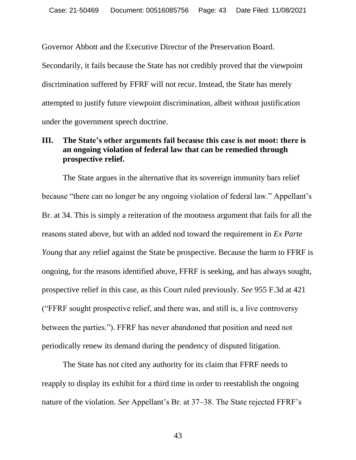Governor Abbott and the Executive Director of the Preservation Board.

Secondarily, it fails because the State has not credibly proved that the viewpoint discrimination suffered by FFRF will not recur. Instead, the State has merely attempted to justify future viewpoint discrimination, albeit without justification under the government speech doctrine.

## **III. The State's other arguments fail because this case is not moot: there is an ongoing violation of federal law that can be remedied through prospective relief.**

The State argues in the alternative that its sovereign immunity bars relief because "there can no longer be any ongoing violation of federal law." Appellant's Br. at 34. This is simply a reiteration of the mootness argument that fails for all the reasons stated above, but with an added nod toward the requirement in *Ex Parte Young* that any relief against the State be prospective. Because the harm to FFRF is ongoing, for the reasons identified above, FFRF is seeking, and has always sought, prospective relief in this case, as this Court ruled previously. *See* 955 F.3d at 421 ("FFRF sought prospective relief, and there was, and still is, a live controversy between the parties."). FFRF has never abandoned that position and need not periodically renew its demand during the pendency of disputed litigation.

The State has not cited any authority for its claim that FFRF needs to reapply to display its exhibit for a third time in order to reestablish the ongoing nature of the violation. *See* Appellant's Br. at 37–38. The State rejected FFRF's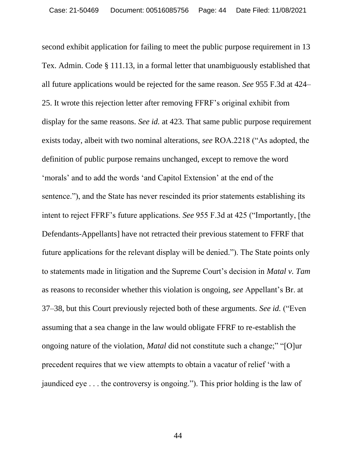second exhibit application for failing to meet the public purpose requirement in 13 Tex. Admin. Code § 111.13, in a formal letter that unambiguously established that all future applications would be rejected for the same reason. *See* 955 F.3d at 424– 25. It wrote this rejection letter after removing FFRF's original exhibit from display for the same reasons. *See id.* at 423. That same public purpose requirement exists today, albeit with two nominal alterations, *see* ROA.2218 ("As adopted, the definition of public purpose remains unchanged, except to remove the word 'morals' and to add the words 'and Capitol Extension' at the end of the sentence."), and the State has never rescinded its prior statements establishing its intent to reject FFRF's future applications. *See* 955 F.3d at 425 ("Importantly, [the Defendants-Appellants] have not retracted their previous statement to FFRF that future applications for the relevant display will be denied."). The State points only to statements made in litigation and the Supreme Court's decision in *Matal v. Tam* as reasons to reconsider whether this violation is ongoing, *see* Appellant's Br. at 37–38, but this Court previously rejected both of these arguments. *See id.* ("Even assuming that a sea change in the law would obligate FFRF to re-establish the ongoing nature of the violation, *Matal* did not constitute such a change;" "[O]ur precedent requires that we view attempts to obtain a vacatur of relief 'with a jaundiced eye . . . the controversy is ongoing."). This prior holding is the law of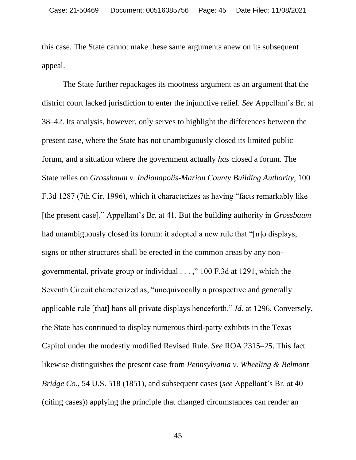this case. The State cannot make these same arguments anew on its subsequent appeal.

The State further repackages its mootness argument as an argument that the district court lacked jurisdiction to enter the injunctive relief. *See* Appellant's Br. at 38–42. Its analysis, however, only serves to highlight the differences between the present case, where the State has not unambiguously closed its limited public forum, and a situation where the government actually *has* closed a forum. The State relies on *Grossbaum v. Indianapolis-Marion County Building Authority*, 100 F.3d 1287 (7th Cir. 1996), which it characterizes as having "facts remarkably like [the present case]." Appellant's Br. at 41. But the building authority in *Grossbaum* had unambiguously closed its forum: it adopted a new rule that "[n]o displays, signs or other structures shall be erected in the common areas by any nongovernmental, private group or individual . . . ," 100 F.3d at 1291, which the Seventh Circuit characterized as, "unequivocally a prospective and generally applicable rule [that] bans all private displays henceforth." *Id.* at 1296. Conversely, the State has continued to display numerous third-party exhibits in the Texas Capitol under the modestly modified Revised Rule. *See* ROA.2315–25. This fact likewise distinguishes the present case from *Pennsylvania v. Wheeling & Belmont Bridge Co.*, 54 U.S. 518 (1851), and subsequent cases (*see* Appellant's Br. at 40 (citing cases)) applying the principle that changed circumstances can render an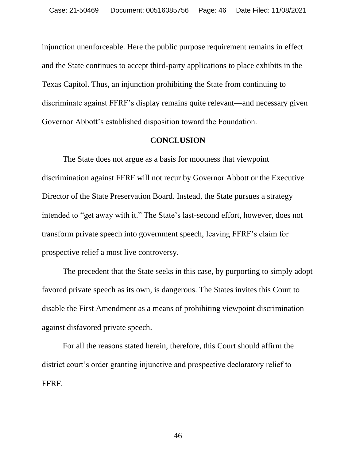injunction unenforceable. Here the public purpose requirement remains in effect and the State continues to accept third-party applications to place exhibits in the Texas Capitol. Thus, an injunction prohibiting the State from continuing to discriminate against FFRF's display remains quite relevant—and necessary given Governor Abbott's established disposition toward the Foundation.

#### **CONCLUSION**

The State does not argue as a basis for mootness that viewpoint discrimination against FFRF will not recur by Governor Abbott or the Executive Director of the State Preservation Board. Instead, the State pursues a strategy intended to "get away with it." The State's last-second effort, however, does not transform private speech into government speech, leaving FFRF's claim for prospective relief a most live controversy.

The precedent that the State seeks in this case, by purporting to simply adopt favored private speech as its own, is dangerous. The States invites this Court to disable the First Amendment as a means of prohibiting viewpoint discrimination against disfavored private speech.

For all the reasons stated herein, therefore, this Court should affirm the district court's order granting injunctive and prospective declaratory relief to FFRF.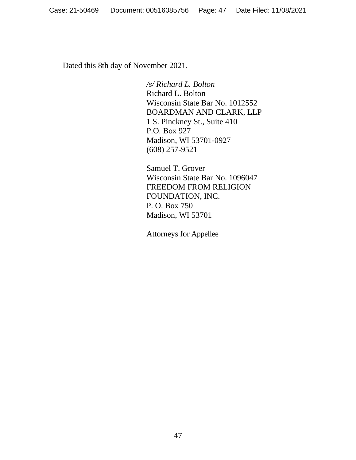Dated this 8th day of November 2021.

*/s/ Richard L. Bolton*

Richard L. Bolton Wisconsin State Bar No. 1012552 BOARDMAN AND CLARK, LLP 1 S. Pinckney St., Suite 410 P.O. Box 927 Madison, WI 53701-0927 (608) 257-9521

Samuel T. Grover Wisconsin State Bar No. 1096047 FREEDOM FROM RELIGION FOUNDATION, INC. P. O. Box 750 Madison, WI 53701

Attorneys for Appellee